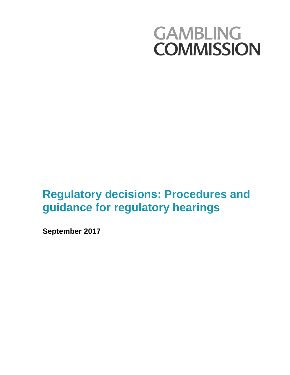# **GAMBLING COMMISSION**

# **Regulatory decisions: Procedures and guidance for regulatory hearings**

**September 2017**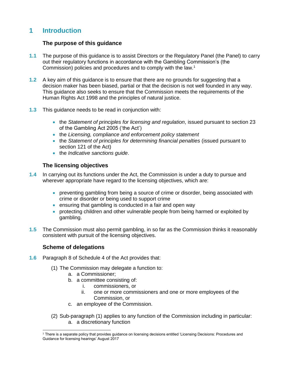### **1 Introduction**

#### **The purpose of this guidance**

- **1.1** The purpose of this guidance is to assist Directors or the Regulatory Panel (the Panel) to carry out their regulatory functions in accordance with the Gambling Commission's (the Commission) policies and procedures and to comply with the law.<sup>1</sup>
- **1.2** A key aim of this guidance is to ensure that there are no grounds for suggesting that a decision maker has been biased, partial or that the decision is not well founded in any way. This guidance also seeks to ensure that the Commission meets the requirements of the Human Rights Act 1998 and the principles of natural justice.
- **1.3** This guidance needs to be read in conjunction with:
	- the *Statement of principles for licensing and regulation*, issued pursuant to section 23 of the Gambling Act 2005 ('the Act')
	- the *Licensing, compliance and enforcement policy statement*
	- the *Statement of principles for determining financial penalties* (issued pursuant to section 121 of the Act)
	- the *Indicative sanctions guide*.

#### **The licensing objectives**

- **1.4** In carrying out its functions under the Act, the Commission is under a duty to pursue and wherever appropriate have regard to the licensing objectives, which are:
	- preventing gambling from being a source of crime or disorder, being associated with crime or disorder or being used to support crime
	- ensuring that gambling is conducted in a fair and open way
	- **•** protecting children and other vulnerable people from being harmed or exploited by gambling.
- **1.5** The Commission must also permit gambling, in so far as the Commission thinks it reasonably consistent with pursuit of the licensing objectives.

#### **Scheme of delegations**

- **1.6** Paragraph 8 of Schedule 4 of the Act provides that:
	- (1) The Commission may delegate a function to:
		- a. a Commissioner;
		- b. a committee consisting of:
			- i. commissioners, or
			- ii. one or more commissioners and one or more employees of the Commission, or
		- c. an employee of the Commission.
	- (2) Sub-paragraph (1) applies to any function of the Commission including in particular: a. a discretionary function

l <sup>1</sup> There is a separate policy that provides guidance on licensing decisions entitled 'Licensing Decisions: Procedures and Guidance for licensing hearings' August 2017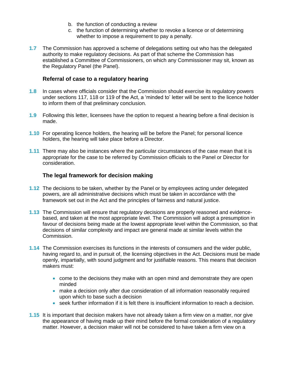- b. the function of conducting a review
- c. the function of determining whether to revoke a licence or of determining whether to impose a requirement to pay a penalty.
- **1.7** The Commission has approved a scheme of delegations setting out who has the delegated authority to make regulatory decisions. As part of that scheme the Commission has established a Committee of Commissioners, on which any Commissioner may sit, known as the Regulatory Panel (the Panel).

#### **Referral of case to a regulatory hearing**

- **1.8** In cases where officials consider that the Commission should exercise its regulatory powers under sections 117, 118 or 119 of the Act, a 'minded to' letter will be sent to the licence holder to inform them of that preliminary conclusion.
- **1.9** Following this letter, licensees have the option to request a hearing before a final decision is made.
- **1.10** For operating licence holders, the hearing will be before the Panel; for personal licence holders, the hearing will take place before a Director.
- **1.11** There may also be instances where the particular circumstances of the case mean that it is appropriate for the case to be referred by Commission officials to the Panel or Director for consideration.

#### **The legal framework for decision making**

- **1.12** The decisions to be taken, whether by the Panel or by employees acting under delegated powers, are all administrative decisions which must be taken in accordance with the framework set out in the Act and the principles of fairness and natural justice.
- **1.13** The Commission will ensure that regulatory decisions are properly reasoned and evidencebased, and taken at the most appropriate level. The Commission will adopt a presumption in favour of decisions being made at the lowest appropriate level within the Commission, so that decisions of similar complexity and impact are general made at similar levels within the Commission.
- **1.14** The Commission exercises its functions in the interests of consumers and the wider public, having regard to, and in pursuit of, the licensing objectives in the Act. Decisions must be made openly, impartially, with sound judgment and for justifiable reasons. This means that decision makers must:
	- come to the decisions they make with an open mind and demonstrate they are open minded
	- make a decision only after due consideration of all information reasonably required upon which to base such a decision
	- seek further information if it is felt there is insufficient information to reach a decision.
- **1.15** It is important that decision makers have not already taken a firm view on a matter, nor give the appearance of having made up their mind before the formal consideration of a regulatory matter. However, a decision maker will not be considered to have taken a firm view on a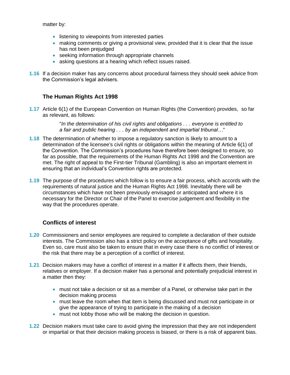matter by:

- **.** listening to viewpoints from interested parties
- making comments or giving a provisional view, provided that it is clear that the issue has not been prejudged
- seeking information through appropriate channels
- asking questions at a hearing which reflect issues raised.
- **1.16** If a decision maker has any concerns about procedural fairness they should seek advice from the Commission's legal advisers.

#### **The Human Rights Act 1998**

**1.17** Article 6(1) of the European Convention on Human Rights (the Convention) provides, so far as relevant, as follows:

> "*In the determination of his civil rights and obligations . . . everyone is entitled to a fair and public hearing . . . by an independent and impartial tribunal…*"

- **1.18** The determination of whether to impose a regulatory sanction is likely to amount to a determination of the licensee's civil rights or obligations within the meaning of Article 6(1) of the Convention. The Commission's procedures have therefore been designed to ensure, so far as possible, that the requirements of the Human Rights Act 1998 and the Convention are met. The right of appeal to the First-tier Tribunal (Gambling) is also an important element in ensuring that an individual's Convention rights are protected.
- **1.19** The purpose of the procedures which follow is to ensure a fair process, which accords with the requirements of natural justice and the Human Rights Act 1998. Inevitably there will be circumstances which have not been previously envisaged or anticipated and where it is necessary for the Director or Chair of the Panel to exercise judgement and flexibility in the way that the procedures operate.

#### **Conflicts of interest**

- **1.20** Commissioners and senior employees are required to complete a declaration of their outside interests. The Commission also has a strict policy on the acceptance of gifts and hospitality. Even so, care must also be taken to ensure that in every case there is no conflict of interest or the risk that there may be a perception of a conflict of interest.
- **1.21** Decision makers may have a conflict of interest in a matter if it affects them, their friends, relatives or employer. If a decision maker has a personal and potentially prejudicial interest in a matter then they:
	- must not take a decision or sit as a member of a Panel, or otherwise take part in the decision making process
	- must leave the room when that item is being discussed and must not participate in or give the appearance of trying to participate in the making of a decision
	- must not lobby those who will be making the decision in question.
- **1.22** Decision makers must take care to avoid giving the impression that they are not independent or impartial or that their decision making process is biased, or there is a risk of apparent bias.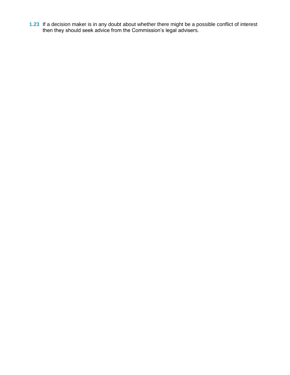**1.23** If a decision maker is in any doubt about whether there might be a possible conflict of interest then they should seek advice from the Commission's legal advisers.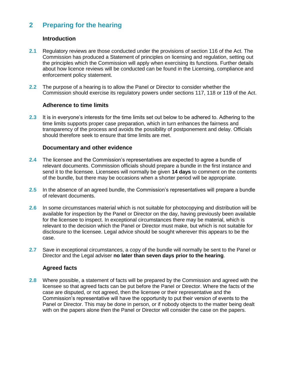# **2 Preparing for the hearing**

#### **Introduction**

- **2.1** Regulatory reviews are those conducted under the provisions of section 116 of the Act. The Commission has produced a Statement of principles on licensing and regulation, setting out the principles which the Commission will apply when exercising its functions. Further details about how licence reviews will be conducted can be found in the Licensing, compliance and enforcement policy statement.
- **2.2** The purpose of a hearing is to allow the Panel or Director to consider whether the Commission should exercise its regulatory powers under sections 117, 118 or 119 of the Act.

#### **Adherence to time limits**

**2.3** It is in everyone's interests for the time limits set out below to be adhered to. Adhering to the time limits supports proper case preparation, which in turn enhances the fairness and transparency of the process and avoids the possibility of postponement and delay. Officials should therefore seek to ensure that time limits are met.

#### **Documentary and other evidence**

- **2.4** The licensee and the Commission's representatives are expected to agree a bundle of relevant documents. Commission officials should prepare a bundle in the first instance and send it to the licensee. Licensees will normally be given **14 days** to comment on the contents of the bundle, but there may be occasions when a shorter period will be appropriate.
- **2.5** In the absence of an agreed bundle, the Commission's representatives will prepare a bundle of relevant documents.
- **2.6** In some circumstances material which is not suitable for photocopying and distribution will be available for inspection by the Panel or Director on the day, having previously been available for the licensee to inspect. In exceptional circumstances there may be material, which is relevant to the decision which the Panel or Director must make, but which is not suitable for disclosure to the licensee. Legal advice should be sought wherever this appears to be the case.
- **2.7** Save in exceptional circumstances, a copy of the bundle will normally be sent to the Panel or Director and the Legal adviser **no later than seven days prior to the hearing**.

#### **Agreed facts**

**2.8** Where possible, a statement of facts will be prepared by the Commission and agreed with the licensee so that agreed facts can be put before the Panel or Director. Where the facts of the case are disputed, or not agreed, then the licensee or their representative and the Commission's representative will have the opportunity to put their version of events to the Panel or Director. This may be done in person, or if nobody objects to the matter being dealt with on the papers alone then the Panel or Director will consider the case on the papers.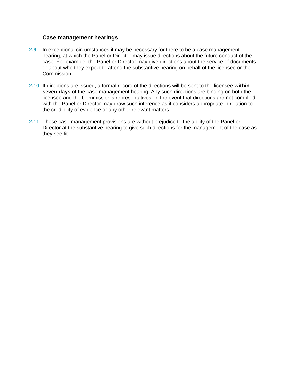#### **Case management hearings**

- **2.9** In exceptional circumstances it may be necessary for there to be a case management hearing, at which the Panel or Director may issue directions about the future conduct of the case. For example, the Panel or Director may give directions about the service of documents or about who they expect to attend the substantive hearing on behalf of the licensee or the Commission.
- **2.10** If directions are issued, a formal record of the directions will be sent to the licensee **within seven days** of the case management hearing. Any such directions are binding on both the licensee and the Commission's representatives. In the event that directions are not complied with the Panel or Director may draw such inference as it considers appropriate in relation to the credibility of evidence or any other relevant matters.
- **2.11** These case management provisions are without prejudice to the ability of the Panel or Director at the substantive hearing to give such directions for the management of the case as they see fit.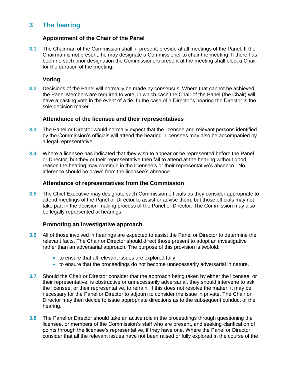## **3 The hearing**

#### **Appointment of the Chair of the Panel**

**3.1** The Chairman of the Commission shall, if present, preside at all meetings of the Panel. If the Chairman is not present, he may designate a Commissioner to chair the meeting. If there has been no such prior designation the Commissioners present at the meeting shall elect a Chair for the duration of the meeting.

#### **Voting**

**3.2** Decisions of the Panel will normally be made by consensus. Where that cannot be achieved the Panel Members are required to vote, in which case the Chair of the Panel (the Chair) will have a casting vote in the event of a tie. In the case of a Director's hearing the Director is the sole decision maker.

#### **Attendance of the licensee and their representatives**

- **3.3** The Panel or Director would normally expect that the licensee and relevant persons identified by the Commission's officials will attend the hearing. Licensees may also be accompanied by a legal representative.
- **3.4** Where a licensee has indicated that they wish to appear or be represented before the Panel or Director, but they or their representative then fail to attend at the hearing without good reason the hearing may continue in the licensee's or their representative's absence. No inference should be drawn from the licensee's absence.

#### **Attendance of representatives from the Commission**

**3.5** The Chief Executive may designate such Commission officials as they consider appropriate to attend meetings of the Panel or Director to assist or advise them, but those officials may not take part in the decision-making process of the Panel or Director. The Commission may also be legally represented at hearings.

#### **Promoting an investigative approach**

- **3.6** All of those involved in hearings are expected to assist the Panel or Director to determine the relevant facts. The Chair or Director should direct those present to adopt an investigative rather than an adversarial approach. The purpose of this provision is twofold:
	- to ensure that all relevant issues are explored fully
	- to ensure that the proceedings do not become unnecessarily adversarial in nature.
- **3.7** Should the Chair or Director consider that the approach being taken by either the licensee, or their representative, is obstructive or unnecessarily adversarial, they should intervene to ask the licensee, or their representative, to refrain. If this does not resolve the matter, it may be necessary for the Panel or Director to adjourn to consider the issue in private. The Chair or Director may then decide to issue appropriate directions as to the subsequent conduct of the hearing.
- **3.8** The Panel or Director should take an active role in the proceedings through questioning the licensee, or members of the Commission's staff who are present, and seeking clarification of points through the licensee's representative, if they have one. Where the Panel or Director consider that all the relevant issues have not been raised or fully explored in the course of the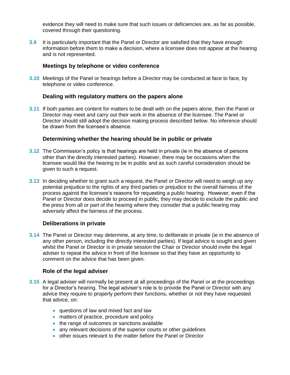evidence they will need to make sure that such issues or deficiencies are, as far as possible, covered through their questioning.

**3.9** It is particularly important that the Panel or Director are satisfied that they have enough information before them to make a decision, where a licensee does not appear at the hearing and is not represented.

#### **Meetings by telephone or video conference**

**3.10** Meetings of the Panel or hearings before a Director may be conducted at face to face, by telephone or video conference.

#### **Dealing with regulatory matters on the papers alone**

**3.11** If both parties are content for matters to be dealt with on the papers alone, then the Panel or Director may meet and carry out their work in the absence of the licensee. The Panel or Director should still adopt the decision making process described below. No inference should be drawn from the licensee's absence.

#### **Determining whether the hearing should be in public or private**

- **3.12** The Commission's policy is that hearings are held in private (ie in the absence of persons other than the directly interested parties). However, there may be occasions when the licensee would like the hearing to be in public and as such careful consideration should be given to such a request.
- **3.13** In deciding whether to grant such a request, the Panel or Director will need to weigh up any potential prejudice to the rights of any third parties or prejudice to the overall fairness of the process against the licensee's reasons for requesting a public hearing. However, even if the Panel or Director does decide to proceed in public, they may decide to exclude the public and the press from all or part of the hearing where they consider that a public hearing may adversely affect the fairness of the process.

#### **Deliberations in private**

**3.14** The Panel or Director may determine, at any time, to deliberate in private (ie in the absence of any other person, including the directly interested parties). If legal advice is sought and given whilst the Panel or Director is in private session the Chair or Director should invite the legal adviser to repeat the advice in front of the licensee so that they have an opportunity to comment on the advice that has been given.

#### **Role of the legal adviser**

- **3.15** A legal adviser will normally be present at all proceedings of the Panel or at the proceedings for a Director's hearing. The legal adviser's role is to provide the Panel or Director with any advice they require to properly perform their functions, whether or not they have requested that advice, on:
	- questions of law and mixed fact and law
	- matters of practice, procedure and policy
	- the range of outcomes or sanctions available
	- any relevant decisions of the superior courts or other guidelines
	- other issues relevant to the matter before the Panel or Director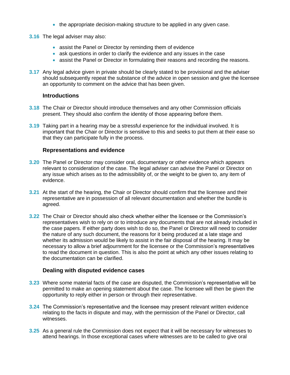- the appropriate decision-making structure to be applied in any given case.
- **3.16** The legal adviser may also:
	- assist the Panel or Director by reminding them of evidence
	- ask questions in order to clarify the evidence and any issues in the case
	- assist the Panel or Director in formulating their reasons and recording the reasons.
- **3.17** Any legal advice given in private should be clearly stated to be provisional and the adviser should subsequently repeat the substance of the advice in open session and give the licensee an opportunity to comment on the advice that has been given.

#### **Introductions**

- **3.18** The Chair or Director should introduce themselves and any other Commission officials present. They should also confirm the identity of those appearing before them.
- **3.19** Taking part in a hearing may be a stressful experience for the individual involved. It is important that the Chair or Director is sensitive to this and seeks to put them at their ease so that they can participate fully in the process.

#### **Representations and evidence**

- **3.20** The Panel or Director may consider oral, documentary or other evidence which appears relevant to consideration of the case. The legal adviser can advise the Panel or Director on any issue which arises as to the admissibility of, or the weight to be given to, any item of evidence.
- **3.21** At the start of the hearing, the Chair or Director should confirm that the licensee and their representative are in possession of all relevant documentation and whether the bundle is agreed.
- **3.22** The Chair or Director should also check whether either the licensee or the Commission's representatives wish to rely on or to introduce any documents that are not already included in the case papers. If either party does wish to do so, the Panel or Director will need to consider the nature of any such document, the reasons for it being produced at a late stage and whether its admission would be likely to assist in the fair disposal of the hearing. It may be necessary to allow a brief adjournment for the licensee or the Commission's representatives to read the document in question. This is also the point at which any other issues relating to the documentation can be clarified.

#### **Dealing with disputed evidence cases**

- **3.23** Where some material facts of the case are disputed, the Commission's representative will be permitted to make an opening statement about the case. The licensee will then be given the opportunity to reply either in person or through their representative.
- **3.24** The Commission's representative and the licensee may present relevant written evidence relating to the facts in dispute and may, with the permission of the Panel or Director, call witnesses.
- **3.25** As a general rule the Commission does not expect that it will be necessary for witnesses to attend hearings. In those exceptional cases where witnesses are to be called to give oral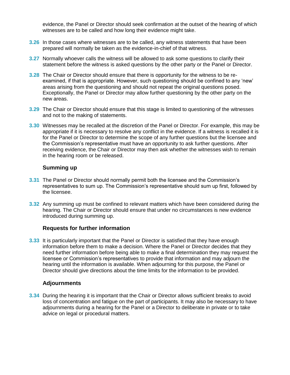evidence, the Panel or Director should seek confirmation at the outset of the hearing of which witnesses are to be called and how long their evidence might take.

- **3.26** In those cases where witnesses are to be called, any witness statements that have been prepared will normally be taken as the evidence-in-chief of that witness.
- **3.27** Normally whoever calls the witness will be allowed to ask some questions to clarify their statement before the witness is asked questions by the other party or the Panel or Director.
- **3.28** The Chair or Director should ensure that there is opportunity for the witness to be reexamined, if that is appropriate. However, such questioning should be confined to any 'new' areas arising from the questioning and should not repeat the original questions posed. Exceptionally, the Panel or Director may allow further questioning by the other party on the new areas.
- **3.29** The Chair or Director should ensure that this stage is limited to questioning of the witnesses and not to the making of statements.
- **3.30** Witnesses may be recalled at the discretion of the Panel or Director. For example, this may be appropriate if it is necessary to resolve any conflict in the evidence. If a witness is recalled it is for the Panel or Director to determine the scope of any further questions but the licensee and the Commission's representative must have an opportunity to ask further questions. After receiving evidence, the Chair or Director may then ask whether the witnesses wish to remain in the hearing room or be released.

#### **Summing up**

- **3.31** The Panel or Director should normally permit both the licensee and the Commission's representatives to sum up. The Commission's representative should sum up first, followed by the licensee.
- **3.32** Any summing up must be confined to relevant matters which have been considered during the hearing. The Chair or Director should ensure that under no circumstances is new evidence introduced during summing up.

#### **Requests for further information**

**3.33** It is particularly important that the Panel or Director is satisfied that they have enough information before them to make a decision. Where the Panel or Director decides that they need further information before being able to make a final determination they may request the licensee or Commission's representatives to provide that information and may adjourn the hearing until the information is available. When adjourning for this purpose, the Panel or Director should give directions about the time limits for the information to be provided.

#### **Adjournments**

**3.34** During the hearing it is important that the Chair or Director allows sufficient breaks to avoid loss of concentration and fatigue on the part of participants. It may also be necessary to have adjournments during a hearing for the Panel or a Director to deliberate in private or to take advice on legal or procedural matters.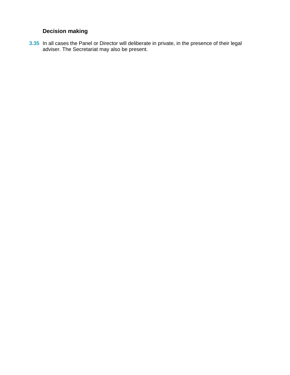#### **Decision making**

**3.35** In all cases the Panel or Director will deliberate in private, in the presence of their legal adviser. The Secretariat may also be present.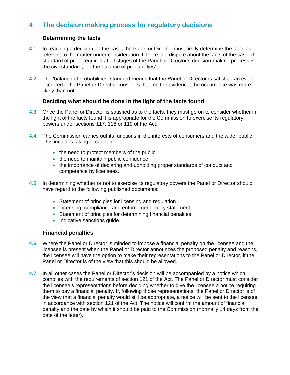# **4 The decision making process for regulatory decisions**

#### **Determining the facts**

- **4.1** In reaching a decision on the case, the Panel or Director must firstly determine the facts as relevant to the matter under consideration. If there is a dispute about the facts of the case, the standard of proof required at all stages of the Panel or Director's decision-making process is the civil standard, 'on the balance of probabilities'.
- **4.2** The 'balance of probabilities' standard means that the Panel or Director is satisfied an event occurred if the Panel or Director considers that, on the evidence, the occurrence was more likely than not.

#### **Deciding what should be done in the light of the facts found**

- **4.3** Once the Panel or Director is satisfied as to the facts, they must go on to consider whether in the light of the facts found it is appropriate for the Commission to exercise its regulatory powers under sections 117, 118 or 119 of the Act.
- **4.4** The Commission carries out its functions in the interests of consumers and the wider public. This includes taking account of:
	- the need to protect members of the public
	- the need to maintain public confidence
	- the importance of declaring and upholding proper standards of conduct and competence by licensees.
- **4.5** In determining whether or not to exercise its regulatory powers the Panel or Director should have regard to the following published documents:
	- Statement of principles for licensing and regulation
	- Licensing, compliance and enforcement policy statement
	- Statement of principles for determining financial penalties
	- Indicative sanctions quide.

#### **Financial penalties**

- **4.6** Where the Panel or Director is minded to impose a financial penalty on the licensee and the licensee is present when the Panel or Director announces the proposed penalty and reasons, the licensee will have the option to make their representations to the Panel or Director, if the Panel or Director is of the view that this should be allowed.
- **4.7** In all other cases the Panel or Director's decision will be accompanied by a notice which complies with the requirements of section 121 of the Act. The Panel or Director must consider the licensee's representations before deciding whether to give the licensee a notice requiring them to pay a financial penalty. If, following those representations, the Panel or Director is of the view that a financial penalty would still be appropriate, a notice will be sent to the licensee in accordance with section 121 of the Act. The notice will confirm the amount of financial penalty and the date by which it should be paid to the Commission (normally 14 days from the date of the letter).